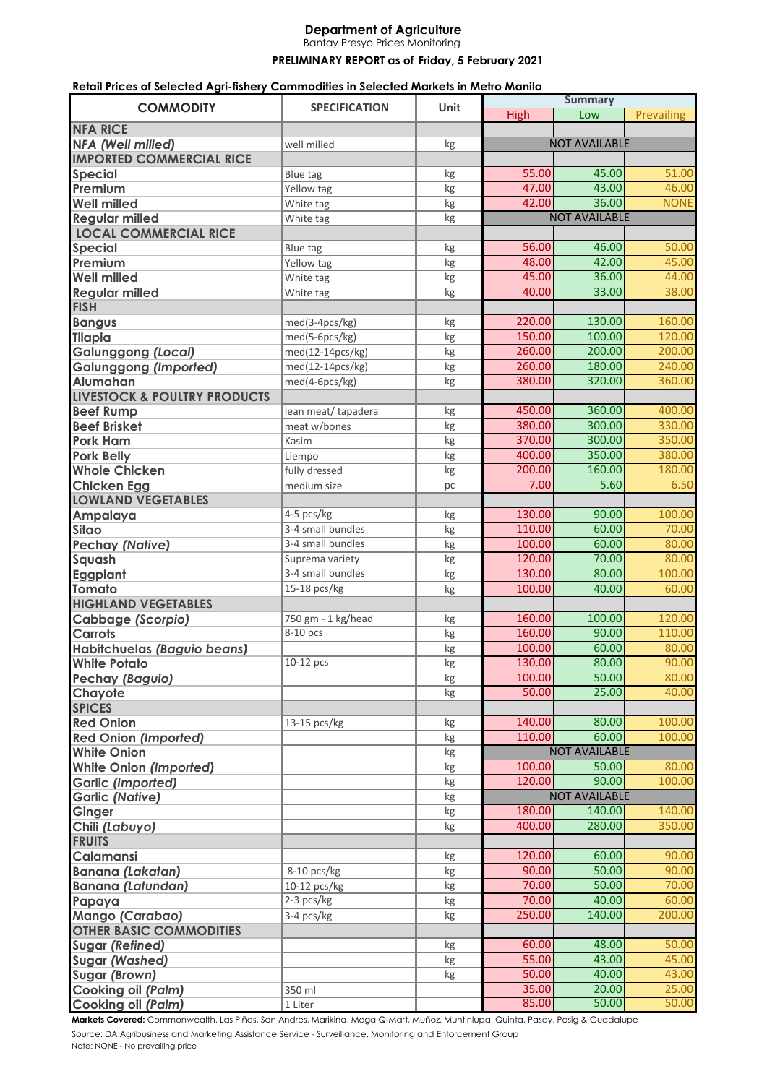## **Department of Agriculture**

Bantay Presyo Prices Monitoring

**PRELIMINARY REPORT as of Friday, 5 February 2021** 

## **Retail Prices of Selected Agri-fishery Commodities in Selected Markets in Metro Manila**

| <b>COMMODITY</b>                        | <b>SPECIFICATION</b> | <b>Unit</b> | <b>Summary</b>       |        |             |
|-----------------------------------------|----------------------|-------------|----------------------|--------|-------------|
|                                         |                      |             | <b>High</b>          | Low    | Prevailing  |
| <b>NFA RICE</b>                         |                      |             |                      |        |             |
| NFA (Well milled)                       | well milled          | kg          | <b>NOT AVAILABLE</b> |        |             |
| <b>IMPORTED COMMERCIAL RICE</b>         |                      |             |                      |        |             |
| <b>Special</b>                          | <b>Blue tag</b>      | kg          | 55.00                | 45.00  | 51.00       |
| Premium                                 | Yellow tag           | kg          | 47.00                | 43.00  | 46.00       |
| <b>Well milled</b>                      | White tag            | kg          | 42.00                | 36.00  | <b>NONE</b> |
| <b>Regular milled</b>                   | White tag            | kg          | <b>NOT AVAILABLE</b> |        |             |
| <b>LOCAL COMMERCIAL RICE</b>            |                      |             |                      |        |             |
| <b>Special</b>                          | Blue tag             | kg          | 56.00                | 46.00  | 50.00       |
| Premium                                 | Yellow tag           | kg          | 48.00                | 42.00  | 45.00       |
| <b>Well milled</b>                      | White tag            | kg          | 45.00                | 36.00  | 44.00       |
| <b>Regular milled</b>                   | White tag            | kg          | 40.00                | 33.00  | 38.00       |
| <b>FISH</b>                             |                      |             |                      |        |             |
| <b>Bangus</b>                           | med(3-4pcs/kg)       | kg          | 220.00               | 130.00 | 160.00      |
| <b>Tilapia</b>                          | med(5-6pcs/kg)       | kg          | 150.00               | 100.00 | 120.00      |
| <b>Galunggong (Local)</b>               | med(12-14pcs/kg)     | kg          | 260.00               | 200.00 | 200.00      |
| <b>Galunggong (Imported)</b>            | med(12-14pcs/kg)     | kg          | 260.00               | 180.00 | 240.00      |
| Alumahan                                | med(4-6pcs/kg)       | kg          | 380.00               | 320.00 | 360.00      |
| <b>LIVESTOCK &amp; POULTRY PRODUCTS</b> |                      |             |                      |        |             |
| <b>Beef Rump</b>                        | lean meat/tapadera   | kg          | 450.00               | 360.00 | 400.00      |
| <b>Beef Brisket</b>                     | meat w/bones         | kg          | 380.00               | 300.00 | 330.00      |
| <b>Pork Ham</b>                         | Kasim                | kg          | 370.00               | 300.00 | 350.00      |
| <b>Pork Belly</b>                       | Liempo               | kg          | 400.00               | 350.00 | 380.00      |
| <b>Whole Chicken</b>                    | fully dressed        | kg          | 200.00               | 160.00 | 180.00      |
| <b>Chicken Egg</b>                      | medium size          | pc          | 7.00                 | 5.60   | 6.50        |
| <b>LOWLAND VEGETABLES</b>               |                      |             |                      |        |             |
| Ampalaya                                | $4-5$ pcs/kg         | kg          | 130.00               | 90.00  | 100.00      |
| Sitao                                   | 3-4 small bundles    | kg          | 110.00               | 60.00  | 70.00       |
| <b>Pechay (Native)</b>                  | 3-4 small bundles    | kg          | 100.00               | 60.00  | 80.00       |
| Squash                                  | Suprema variety      | kg          | 120.00               | 70.00  | 80.00       |
| Eggplant                                | 3-4 small bundles    | kg          | 130.00               | 80.00  | 100.00      |
| <b>Tomato</b>                           | 15-18 pcs/kg         | kg          | 100.00               | 40.00  | 60.00       |
| <b>HIGHLAND VEGETABLES</b>              |                      |             |                      |        |             |
| Cabbage (Scorpio)                       | 750 gm - 1 kg/head   | kg          | 160.00               | 100.00 | 120.00      |
| <b>Carrots</b>                          | 8-10 pcs             | kg          | 160.00               | 90.00  | 110.00      |
| Habitchuelas (Baguio beans)             |                      | kg          | 100.00               | 60.00  | 80.00       |
| <b>White Potato</b>                     | 10-12 pcs            | kg          | 130.00               | 80.00  | 90.00       |
| <b>Pechay (Baguio)</b>                  |                      | kg          | 100.00               | 50.00  | 80.00       |
| Chayote                                 |                      | kg          | 50.00                | 25.00  | 40.00       |
| <b>SPICES</b>                           |                      |             |                      |        |             |
| <b>Red Onion</b>                        | 13-15 pcs/kg         | kg          | 140.00               | 80.00  | 100.00      |
| <b>Red Onion (Imported)</b>             |                      | kg          | 110.00               | 60.00  | 100.00      |
| <b>White Onion</b>                      |                      | kg          | <b>NOT AVAILABLE</b> |        |             |
| <b>White Onion (Imported)</b>           |                      | kg          | 100.00               | 50.00  | 80.00       |
| <b>Garlic (Imported)</b>                |                      | kg          | 120.00               | 90.00  | 100.00      |
| <b>Garlic (Native)</b>                  |                      | kg          | <b>NOT AVAILABLE</b> |        |             |
| Ginger                                  |                      | kg          | 180.00               | 140.00 | 140.00      |
| Chili (Labuyo)                          |                      | kg          | 400.00               | 280.00 | 350.00      |
| <b>FRUITS</b>                           |                      |             |                      |        |             |
| Calamansi                               |                      | kg          | 120.00               | 60.00  | 90.00       |
| <b>Banana (Lakatan)</b>                 | 8-10 pcs/kg          | kg          | 90.00                | 50.00  | 90.00       |
| <b>Banana (Latundan)</b>                | 10-12 pcs/kg         | kg          | 70.00                | 50.00  | 70.00       |
| Papaya                                  | 2-3 pcs/kg           | kg          | 70.00                | 40.00  | 60.00       |
| Mango (Carabao)                         | 3-4 pcs/kg           | kg          | 250.00               | 140.00 | 200.00      |
| <b>OTHER BASIC COMMODITIES</b>          |                      |             |                      |        |             |
| <b>Sugar (Refined)</b>                  |                      | kg          | 60.00                | 48.00  | 50.00       |
| <b>Sugar (Washed)</b>                   |                      | kg          | 55.00                | 43.00  | 45.00       |
| <b>Sugar (Brown)</b>                    |                      | kg          | 50.00                | 40.00  | 43.00       |
| Cooking oil (Palm)                      | 350 ml               |             | 35.00                | 20.00  | 25.00       |
| <b>Cooking oil (Palm)</b>               | 1 Liter              |             | 85.00                | 50.00  | 50.00       |
|                                         |                      |             |                      |        |             |

Source: DA Agribusiness and Marketing Assistance Service - Surveillance, Monitoring and Enforcement Group **Markets Covered:** Commonwealth, Las Piñas, San Andres, Marikina, Mega Q-Mart, Muñoz, Muntinlupa, Quinta, Pasay, Pasig & Guadalupe

Note: NONE - No prevailing price